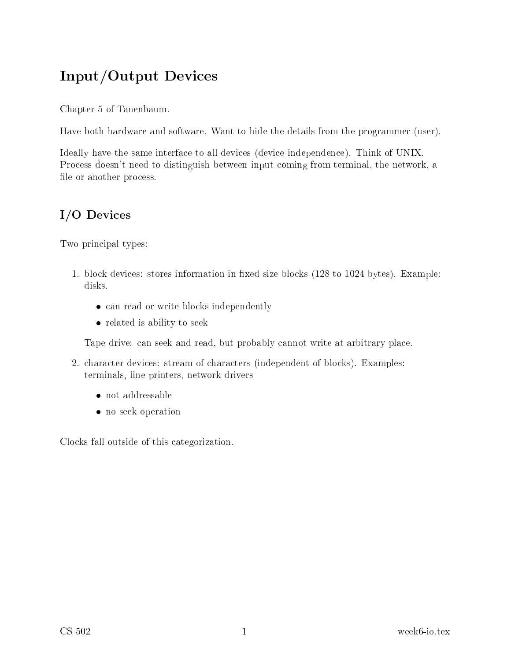# Input/Output Devi
es

Chapter 5 of Tanenbaum.

Have both hardware and software. Want to hide the details from the programmer (user).

Ideally have the same interface to all devices (device independence). Think of UNIX. Process doesn't need to distinguish between input coming from terminal, the network, a file or another process.

## I/O Devi
es

Two principal types:

- 1. block devices: stores information in fixed size blocks (128 to 1024 bytes). Example: disks.
	- can read or write blocks independently
	- related is ability to seek

Tape drive: an seek and read, but probably annot write at arbitrary pla
e.

- 2. hara
ter devi
es: stream of hara
ters (independent of blo
ks). Examples: terminals, line printers, network drivers
	- not addressable
	- no seek operation

Clo
ks fall outside of this ategorization.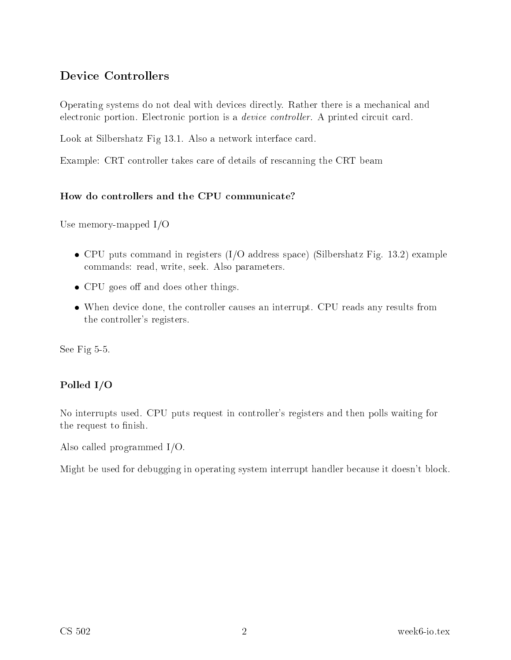### Devi
e Controllers

Operating systems do not deal with devices directly. Rather there is a mechanical and electronic portion. Electronic portion is a *device controller*. A printed circuit card.

Look at Silbershatz Fig 13.1. Also a network interface card.

Example: CRT ontroller takes are of details of res
anning the CRT beam

#### How do controllers and the CPU communicate?

Use memory-mapped I/O

- CPU puts command in registers (I/O address space) (Silbershatz Fig. 13.2) example ommands: read, write, seek. Also parameters.
- $\bullet$  CPU goes off and does other things.
- When device done, the controller causes an interrupt. CPU reads any results from the ontroller's registers.

See Fig 5-5.

### Polled I/O

No interrupts used. CPU puts request in ontroller's registers and then polls waiting for the request to finish.

Also alled programmed I/O.

Might be used for debugging in operating system interrupt handler be
ause it doesn't blo
k.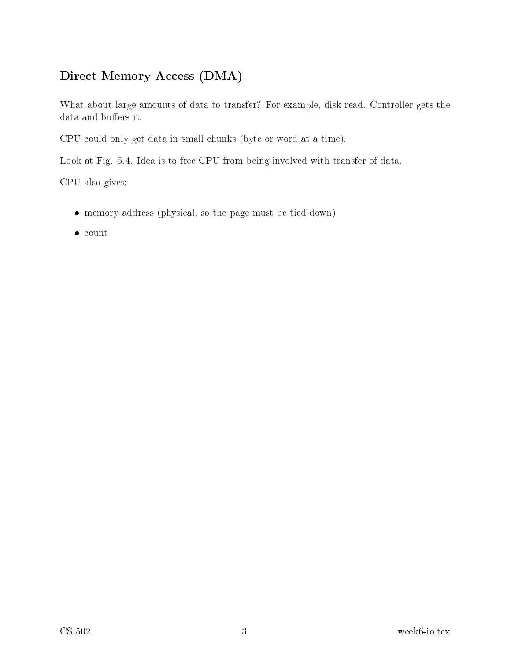## Direct Memory Access (DMA)

What about large amounts of data to transfer? For example, disk read. Controller gets the data and buffers it.

CPU ould only get data in small hunks (byte or word at a time).

Look at Fig. 5.4. Idea is to free CPU from being involved with transfer of data.

CPU also gives:

- memory address (physi
al, so the page must be tied down)
- $\bullet\$  count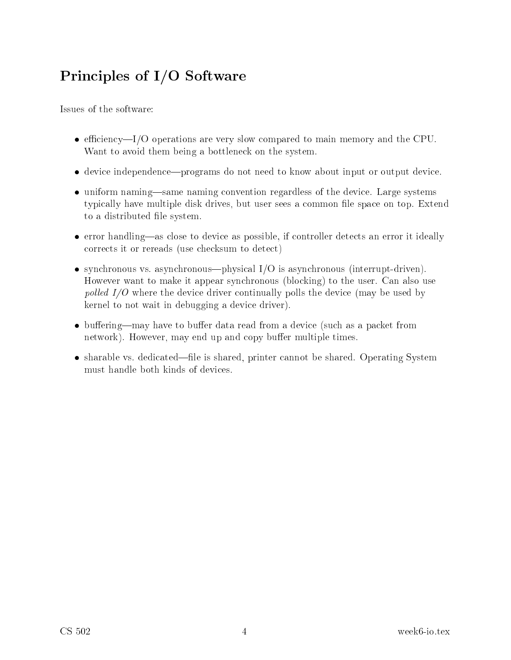# Prin
iples of I/O Software

Issues of the software:

- $\bullet$  efficiency—I/O operations are very slow compared to main memory and the CPU. Want to avoid them being a bottlene
k on the system.
- device independence—programs do not need to know about input or output device.
- uniform naming—same naming convention regardless of the device. Large systems typi
ally have multiple disk drives, but user sees a ommon le spa
e on top. Extend to a distributed file system.
- error handling—as close to device as possible, if controller detects an error it ideally orre
ts it or rereads (use he
ksum to dete
t)
- synchronous vs. asynchronous—physical  $I/O$  is asynchronous (interrupt-driven). However want to make it appear syn
hronous (blo
king) to the user. Can also use pol led I/O where the devi
e driver ontinually polls the devi
e (may be used by kernel to not wait in debugging a devi
e driver).
- $\bullet$  buffering—may have to buffer data read from a device (such as a packet from network). However, may end up and copy buffer multiple times.
- sharable vs. dedicated—file is shared, printer cannot be shared. Operating System must handle both kinds of devi
es.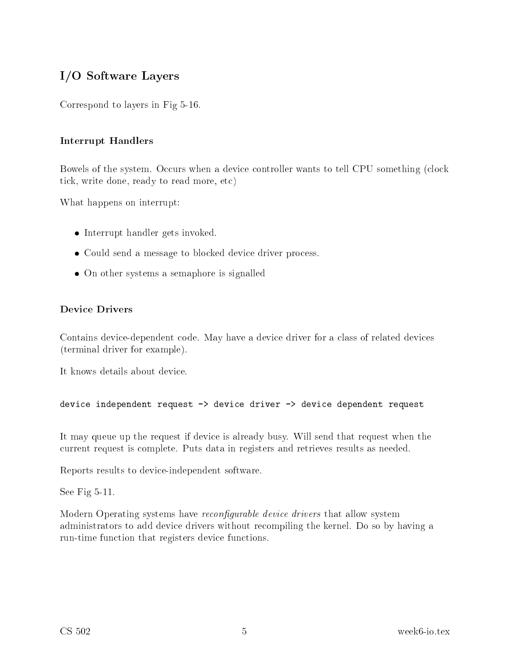## I/O Software Layers

Correspond to layers in Fig 5-16.

### Interrupt Handlers

Bowels of the system. Occurs when a device controller wants to tell CPU something (clock tick, write done, ready to read more, etc)

What happens on interrupt:

- Interrupt handler gets invoked.
- Could send a message to blocked device driver process.
- On other systems a semaphore is signalled

#### Device Drivers

Contains device-dependent code. May have a device driver for a class of related devices (terminal driver for example).

It knows details about devi
e.

device independent request -> device driver -> device dependent request

It may queue up the request if devi
e is already busy. Will send that request when the urrent request is omplete. Puts data in registers and retrieves results as needed.

Reports results to devi
e-independent software.

See Fig 5-11.

Modern Operating systems have *reconfigurable device drivers* that allow system administrators to add devi
e drivers without re
ompiling the kernel. Do so by having a run-time function that registers device functions.